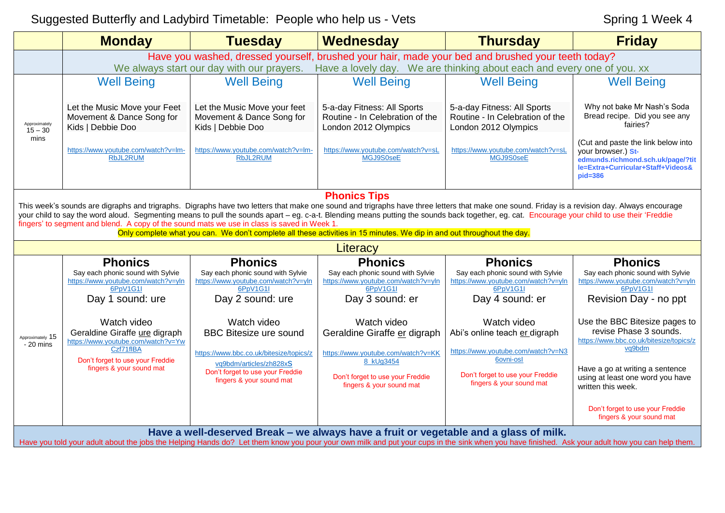## Suggested Butterfly and Ladybird Timetable: People who help us - Vets Spring 1 Week 4

|                                                                                                                                                                                                                                                                                                                                                                                                                                                                                                                                                                                                                                                 | <b>Monday</b>                                                                                                                                                               | <b>Tuesday</b>                                                                          | Wednesday                                                                              | <b>Thursday</b>                                                                        | <b>Friday</b>                                                                                                                                     |  |  |  |
|-------------------------------------------------------------------------------------------------------------------------------------------------------------------------------------------------------------------------------------------------------------------------------------------------------------------------------------------------------------------------------------------------------------------------------------------------------------------------------------------------------------------------------------------------------------------------------------------------------------------------------------------------|-----------------------------------------------------------------------------------------------------------------------------------------------------------------------------|-----------------------------------------------------------------------------------------|----------------------------------------------------------------------------------------|----------------------------------------------------------------------------------------|---------------------------------------------------------------------------------------------------------------------------------------------------|--|--|--|
|                                                                                                                                                                                                                                                                                                                                                                                                                                                                                                                                                                                                                                                 | Have you washed, dressed yourself, brushed your hair, made your bed and brushed your teeth today?<br>Have a lovely day. We are thinking about each and every one of you. xx |                                                                                         |                                                                                        |                                                                                        |                                                                                                                                                   |  |  |  |
|                                                                                                                                                                                                                                                                                                                                                                                                                                                                                                                                                                                                                                                 |                                                                                                                                                                             | We always start our day with our prayers.                                               |                                                                                        |                                                                                        |                                                                                                                                                   |  |  |  |
| Approximately<br>$15 - 30$<br>mins                                                                                                                                                                                                                                                                                                                                                                                                                                                                                                                                                                                                              | <b>Well Being</b>                                                                                                                                                           | <b>Well Being</b>                                                                       | <b>Well Being</b>                                                                      | <b>Well Being</b>                                                                      | <b>Well Being</b>                                                                                                                                 |  |  |  |
|                                                                                                                                                                                                                                                                                                                                                                                                                                                                                                                                                                                                                                                 | Let the Music Move your Feet<br>Movement & Dance Song for<br>Kids   Debbie Doo                                                                                              | Let the Music Move your feet<br>Movement & Dance Song for<br>Kids   Debbie Doo          | 5-a-day Fitness: All Sports<br>Routine - In Celebration of the<br>London 2012 Olympics | 5-a-day Fitness: All Sports<br>Routine - In Celebration of the<br>London 2012 Olympics | Why not bake Mr Nash's Soda<br>Bread recipe. Did you see any<br>fairies?                                                                          |  |  |  |
|                                                                                                                                                                                                                                                                                                                                                                                                                                                                                                                                                                                                                                                 | https://www.youtube.com/watch?v=lm-<br><b>RbJL2RUM</b>                                                                                                                      | https://www.youtube.com/watch?v=lm-<br><b>RbJL2RUM</b>                                  | https://www.youtube.com/watch?v=sL<br>MGJ9S0seE                                        | https://www.youtube.com/watch?v=sL<br>MGJ9S0seE                                        | (Cut and paste the link below into<br>your browser.) St-<br>edmunds.richmond.sch.uk/page/?tit<br>le=Extra+Curricular+Staff+Videos&<br>$pid = 386$ |  |  |  |
| <b>Phonics Tips</b><br>This week's sounds are digraphs and trigraphs. Digraphs have two letters that make one sound and trigraphs have three letters that make one sound. Friday is a revision day. Always encourage<br>your child to say the word aloud. Segmenting means to pull the sounds apart - eg. c-a-t. Blending means putting the sounds back together, eg. cat. Encourage your child to use their 'Freddie<br>fingers' to segment and blend. A copy of the sound mats we use in class is saved in Week 1.<br>Only complete what you can. We don't complete all these activities in 15 minutes. We dip in and out throughout the day. |                                                                                                                                                                             |                                                                                         |                                                                                        |                                                                                        |                                                                                                                                                   |  |  |  |
|                                                                                                                                                                                                                                                                                                                                                                                                                                                                                                                                                                                                                                                 |                                                                                                                                                                             |                                                                                         | Literacy                                                                               |                                                                                        |                                                                                                                                                   |  |  |  |
|                                                                                                                                                                                                                                                                                                                                                                                                                                                                                                                                                                                                                                                 | <b>Phonics</b>                                                                                                                                                              | <b>Phonics</b>                                                                          | <b>Phonics</b>                                                                         | <b>Phonics</b>                                                                         | <b>Phonics</b>                                                                                                                                    |  |  |  |
| Approximately 15<br>- 20 mins                                                                                                                                                                                                                                                                                                                                                                                                                                                                                                                                                                                                                   | Say each phonic sound with Sylvie<br>https://www.youtube.com/watch?v=yln<br>6PpV1G1I                                                                                        | Say each phonic sound with Sylvie<br>https://www.youtube.com/watch?v=yln<br>6PpV1G1I    | Say each phonic sound with Sylvie<br>https://www.youtube.com/watch?v=yln<br>6PpV1G1I   | Say each phonic sound with Sylvie<br>https://www.youtube.com/watch?v=yln<br>6PpV1G1I   | Say each phonic sound with Sylvie<br>https://www.youtube.com/watch?v=yln<br>6PpV1G1I                                                              |  |  |  |
|                                                                                                                                                                                                                                                                                                                                                                                                                                                                                                                                                                                                                                                 | Day 1 sound: ure                                                                                                                                                            | Day 2 sound: ure                                                                        | Day 3 sound: er                                                                        | Day 4 sound: er                                                                        | Revision Day - no ppt                                                                                                                             |  |  |  |
|                                                                                                                                                                                                                                                                                                                                                                                                                                                                                                                                                                                                                                                 | Watch video<br>Geraldine Giraffe ure digraph                                                                                                                                | Watch video<br><b>BBC Bitesize ure sound</b>                                            | Watch video<br>Geraldine Giraffe er digraph                                            | Watch video<br>Abi's online teach er digraph                                           | Use the BBC Bitesize pages to<br>revise Phase 3 sounds.                                                                                           |  |  |  |
|                                                                                                                                                                                                                                                                                                                                                                                                                                                                                                                                                                                                                                                 | https://www.youtube.com/watch?v=Yw<br>Czf71fIBA                                                                                                                             | https://www.bbc.co.uk/bitesize/topics/z                                                 | https://www.youtube.com/watch?v=KK                                                     | https://www.youtube.com/watch?v=N3                                                     | https://www.bbc.co.uk/bitesize/topics/z<br>vq9bdm                                                                                                 |  |  |  |
|                                                                                                                                                                                                                                                                                                                                                                                                                                                                                                                                                                                                                                                 | Don't forget to use your Freddie<br>fingers & your sound mat                                                                                                                | vq9bdm/articles/zh828xS<br>Don't forget to use your Freddie<br>fingers & your sound mat | 8 kUg3454<br>Don't forget to use your Freddie<br>fingers & your sound mat              | 6ovni-osl<br>Don't forget to use your Freddie<br>fingers & your sound mat              | Have a go at writing a sentence<br>using at least one word you have                                                                               |  |  |  |
|                                                                                                                                                                                                                                                                                                                                                                                                                                                                                                                                                                                                                                                 |                                                                                                                                                                             |                                                                                         |                                                                                        |                                                                                        | written this week.                                                                                                                                |  |  |  |
|                                                                                                                                                                                                                                                                                                                                                                                                                                                                                                                                                                                                                                                 |                                                                                                                                                                             |                                                                                         |                                                                                        |                                                                                        | Don't forget to use your Freddie<br>fingers & your sound mat                                                                                      |  |  |  |
|                                                                                                                                                                                                                                                                                                                                                                                                                                                                                                                                                                                                                                                 |                                                                                                                                                                             | Have a well-deserved Break - we always have a fruit or vegetable and a glass of milk.   |                                                                                        |                                                                                        |                                                                                                                                                   |  |  |  |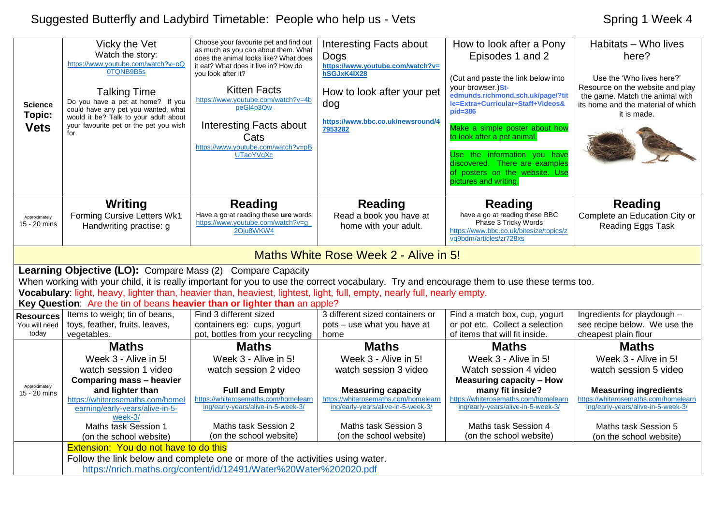## Suggested Butterfly and Ladybird Timetable: People who help us - Vets Spring 1 Week 4

| <b>Science</b><br>Topic:<br><b>Vets</b>    | Vicky the Vet<br>Watch the story:<br>https://www.youtube.com/watch?v=oQ<br>0TONB9B5s<br><b>Talking Time</b><br>Do you have a pet at home? If you<br>could have any pet you wanted, what<br>would it be? Talk to your adult about<br>your favourite pet or the pet you wish<br>for. | Choose your favourite pet and find out<br>as much as you can about them. What<br>does the animal looks like? What does<br>it eat? What does it live in? How do<br>you look after it?<br><b>Kitten Facts</b><br>https://www.youtube.com/watch?v=4b<br>peGI4p3Ow<br><b>Interesting Facts about</b><br>Cats<br>https://www.youtube.com/watch?v=pB<br><b>UTaoYVgXc</b> | <b>Interesting Facts about</b><br>Dogs<br>https://www.youtube.com/watch?v=<br>hSGJxK4IX28<br>How to look after your pet<br>dog<br>https://www.bbc.co.uk/newsround/4<br>7953282 | How to look after a Pony<br>Episodes 1 and 2<br>(Cut and paste the link below into<br>your browser.)St-<br>edmunds.richmond.sch.uk/page/?tit<br>le=Extra+Curricular+Staff+Videos&<br>$pid = 386$<br>Make a simple poster about how<br>to look after a pet animal.<br>Use the information you have<br>discovered. There are examples<br>of posters on the website. Use<br>pictures and writing. | Habitats - Who lives<br>here?<br>Use the 'Who lives here?'<br>Resource on the website and play<br>the game. Match the animal with<br>its home and the material of which<br>it is made. |
|--------------------------------------------|------------------------------------------------------------------------------------------------------------------------------------------------------------------------------------------------------------------------------------------------------------------------------------|--------------------------------------------------------------------------------------------------------------------------------------------------------------------------------------------------------------------------------------------------------------------------------------------------------------------------------------------------------------------|--------------------------------------------------------------------------------------------------------------------------------------------------------------------------------|------------------------------------------------------------------------------------------------------------------------------------------------------------------------------------------------------------------------------------------------------------------------------------------------------------------------------------------------------------------------------------------------|----------------------------------------------------------------------------------------------------------------------------------------------------------------------------------------|
| Approximately<br>15 - 20 mins              | <b>Writing</b><br>Forming Cursive Letters Wk1<br>Handwriting practise: g                                                                                                                                                                                                           | <b>Reading</b><br>Have a go at reading these ure words<br>https://www.youtube.com/watch?v=g<br>2Oiu8WKW4                                                                                                                                                                                                                                                           | <b>Reading</b><br>Read a book you have at<br>home with your adult.                                                                                                             | <b>Reading</b><br>have a go at reading these BBC<br>Phase 3 Tricky Words<br>https://www.bbc.co.uk/bitesize/topics/z<br>vq9bdm/articles/zr728xs                                                                                                                                                                                                                                                 | <b>Reading</b><br>Complete an Education City or<br>Reading Eggs Task                                                                                                                   |
|                                            |                                                                                                                                                                                                                                                                                    |                                                                                                                                                                                                                                                                                                                                                                    | Maths White Rose Week 2 - Alive in 5!                                                                                                                                          |                                                                                                                                                                                                                                                                                                                                                                                                |                                                                                                                                                                                        |
|                                            | Learning Objective (LO): Compare Mass (2) Compare Capacity                                                                                                                                                                                                                         | When working with your child, it is really important for you to use the correct vocabulary. Try and encourage them to use these terms too.<br>Vocabulary: light, heavy, lighter than, heavier than, heaviest, lightest, light, full, empty, nearly full, nearly empty.<br>Key Question: Are the tin of beans heavier than or lighter than an apple?                |                                                                                                                                                                                |                                                                                                                                                                                                                                                                                                                                                                                                |                                                                                                                                                                                        |
| <b>Resources</b><br>You will need<br>today | Items to weigh; tin of beans,<br>toys, feather, fruits, leaves,<br>vegetables.                                                                                                                                                                                                     | Find 3 different sized<br>containers eg: cups, yogurt<br>pot, bottles from your recycling                                                                                                                                                                                                                                                                          | 3 different sized containers or<br>pots - use what you have at<br>home                                                                                                         | Find a match box, cup, yogurt<br>or pot etc. Collect a selection<br>of items that will fit inside.                                                                                                                                                                                                                                                                                             | Ingredients for playdough -<br>see recipe below. We use the<br>cheapest plain flour                                                                                                    |
|                                            | <b>Maths</b>                                                                                                                                                                                                                                                                       | <b>Maths</b>                                                                                                                                                                                                                                                                                                                                                       | <b>Maths</b>                                                                                                                                                                   | <b>Maths</b>                                                                                                                                                                                                                                                                                                                                                                                   | <b>Maths</b>                                                                                                                                                                           |
| Approximately<br>15 - 20 mins              | Week 3 - Alive in 5!<br>watch session 1 video<br>Comparing mass - heavier<br>and lighter than<br>https://whiterosemaths.com/homel<br>earning/early-years/alive-in-5-                                                                                                               | Week 3 - Alive in 5!<br>watch session 2 video<br><b>Full and Empty</b><br>https://whiterosemaths.com/homelearn<br>ing/early-years/alive-in-5-week-3/                                                                                                                                                                                                               | Week 3 - Alive in 5!<br>watch session 3 video<br><b>Measuring capacity</b><br>https://whiterosemaths.com/homelearn<br>ing/early-years/alive-in-5-week-3/                       | Week 3 - Alive in 5!<br>Watch session 4 video<br><b>Measuring capacity - How</b><br>many fit inside?<br>https://whiterosemaths.com/homelearn<br>ing/early-years/alive-in-5-week-3/                                                                                                                                                                                                             | Week 3 - Alive in 5!<br>watch session 5 video<br><b>Measuring ingredients</b><br>https://whiterosemaths.com/homelearn<br>ing/early-years/alive-in-5-week-3/                            |
|                                            | week-3/<br>Maths task Session 1<br>(on the school website)                                                                                                                                                                                                                         | Maths task Session 2<br>(on the school website)                                                                                                                                                                                                                                                                                                                    | Maths task Session 3<br>(on the school website)                                                                                                                                | Maths task Session 4<br>(on the school website)                                                                                                                                                                                                                                                                                                                                                | Maths task Session 5<br>(on the school website)                                                                                                                                        |
|                                            | <b>Extension: You do not have to do this</b>                                                                                                                                                                                                                                       | Follow the link below and complete one or more of the activities using water.                                                                                                                                                                                                                                                                                      |                                                                                                                                                                                |                                                                                                                                                                                                                                                                                                                                                                                                |                                                                                                                                                                                        |

<https://nrich.maths.org/content/id/12491/Water%20Water%202020.pdf>